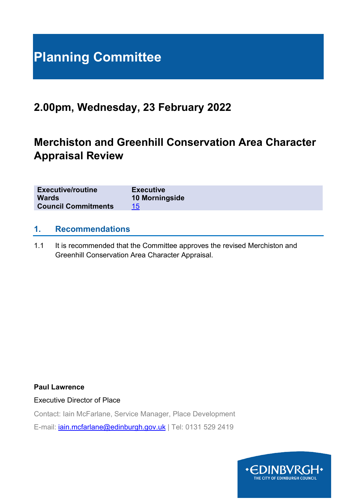# **Planning Committee**

# **2.00pm, Wednesday, 23 February 2022**

# **Merchiston and Greenhill Conservation Area Character Appraisal Review**

| <b>Executive/routine</b><br><b>Executive</b><br>10 Morningside<br><b>Wards</b><br><b>Council Commitments</b><br>15 |
|--------------------------------------------------------------------------------------------------------------------|
|--------------------------------------------------------------------------------------------------------------------|

# **1. Recommendations**

1.1 It is recommended that the Committee approves the revised Merchiston and Greenhill Conservation Area Character Appraisal.

#### **Paul Lawrence**

Executive Director of Place

Contact: Iain McFarlane, Service Manager, Place Development E-mail: [iain.mcfarlane@edinburgh.gov.uk](mailto:iain.mcfarlane@edinburgh.gov.uk) | Tel: 0131 529 2419

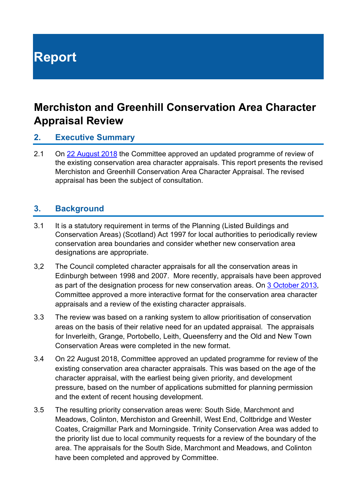# **Report**

# **Merchiston and Greenhill Conservation Area Character Appraisal Review**

# **2. Executive Summary**

2.1 On [22 August 2018](https://democracy.edinburgh.gov.uk/CeListDocuments.aspx?CommitteeId=147&MeetingId=3714&DF=22%2f08%2f2018&Ver=2) the Committee approved an updated programme of review of the existing conservation area character appraisals. This report presents the revised Merchiston and Greenhill Conservation Area Character Appraisal. The revised appraisal has been the subject of consultation.

# **3. Background**

- 3.1 It is a statutory requirement in terms of the Planning (Listed Buildings and Conservation Areas) (Scotland) Act 1997 for local authorities to periodically review conservation area boundaries and consider whether new conservation area designations are appropriate.
- 3,2 The Council completed character appraisals for all the conservation areas in Edinburgh between 1998 and 2007. More recently, appraisals have been approved as part of the designation process for new conservation areas. On [3 October 2013,](https://democracy.edinburgh.gov.uk/CeListDocuments.aspx?CommitteeId=147&MeetingId=3684&DF=03%2f10%2f2013&Ver=2) Committee approved a more interactive format for the conservation area character appraisals and a review of the existing character appraisals.
- 3.3 The review was based on a ranking system to allow prioritisation of conservation areas on the basis of their relative need for an updated appraisal. The appraisals for Inverleith, Grange, Portobello, Leith, Queensferry and the Old and New Town Conservation Areas were completed in the new format.
- 3.4 On [22 August 2018,](http://www.edinburgh.gov.uk/download/meetings/id/58222/item_101_-_review_of_conservation_area_character_appraisals) Committee approved an updated programme for review of the existing conservation area character appraisals. This was based on the age of the character appraisal, with the earliest being given priority, and development pressure, based on the number of applications submitted for planning permission and the extent of recent housing development.
- 3.5 The resulting priority conservation areas were: South Side, Marchmont and Meadows, Colinton, Merchiston and Greenhill, West End, Coltbridge and Wester Coates, Craigmillar Park and Morningside. Trinity Conservation Area was added to the priority list due to local community requests for a review of the boundary of the area. The appraisals for the South Side, Marchmont and Meadows, and Colinton have been completed and approved by Committee.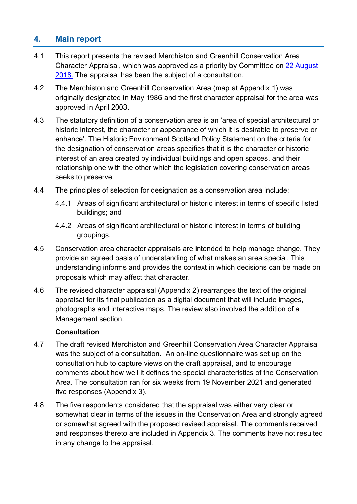# **4. Main report**

- 4.1 This report presents the revised Merchiston and Greenhill Conservation Area Character Appraisal, which was approved as a priority by Committee on [22 August](http://www.edinburgh.gov.uk/download/meetings/id/58222/item_101_-_review_of_conservation_area_character_appraisals)  [2018.](http://www.edinburgh.gov.uk/download/meetings/id/58222/item_101_-_review_of_conservation_area_character_appraisals) The appraisal has been the subject of a consultation.
- 4.2 The Merchiston and Greenhill Conservation Area (map at Appendix 1) was originally designated in May 1986 and the first character appraisal for the area was approved in April 2003.
- 4.3 The statutory definition of a conservation area is an 'area of special architectural or historic interest, the character or appearance of which it is desirable to preserve or enhance'. The Historic Environment Scotland Policy Statement on the criteria for the designation of conservation areas specifies that it is the character or historic interest of an area created by individual buildings and open spaces, and their relationship one with the other which the legislation covering conservation areas seeks to preserve.
- 4.4 The principles of selection for designation as a conservation area include:
	- 4.4.1 Areas of significant architectural or historic interest in terms of specific listed buildings; and
	- 4.4.2 Areas of significant architectural or historic interest in terms of building groupings.
- 4.5 Conservation area character appraisals are intended to help manage change. They provide an agreed basis of understanding of what makes an area special. This understanding informs and provides the context in which decisions can be made on proposals which may affect that character.
- 4.6 The revised character appraisal (Appendix 2) rearranges the text of the original appraisal for its final publication as a digital document that will include images, photographs and interactive maps. The review also involved the addition of a Management section.

# **Consultation**

- 4.7 The draft revised Merchiston and Greenhill Conservation Area Character Appraisal was the subject of a consultation. An on-line questionnaire was set up on the consultation hub to capture views on the draft appraisal, and to encourage comments about how well it defines the special characteristics of the Conservation Area. The consultation ran for six weeks from 19 November 2021 and generated five responses (Appendix 3).
- 4.8 The five respondents considered that the appraisal was either very clear or somewhat clear in terms of the issues in the Conservation Area and strongly agreed or somewhat agreed with the proposed revised appraisal. The comments received and responses thereto are included in Appendix 3. The comments have not resulted in any change to the appraisal.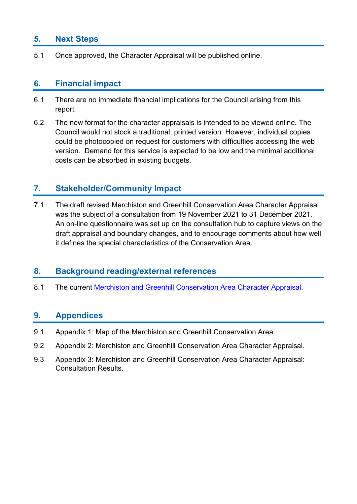# **5. Next Steps**

5.1 Once approved, the Character Appraisal will be published online.

# **6. Financial impact**

- 6.1 There are no immediate financial implications for the Council arising from this report.
- 6.2 The new format for the character appraisals is intended to be viewed online. The Council would not stock a traditional, printed version. However, individual copies could be photocopied on request for customers with difficulties accessing the web version. Demand for this service is expected to be low and the minimal additional costs can be absorbed in existing budgets.

# **7. Stakeholder/Community Impact**

7.1 The draft revised Merchiston and Greenhill Conservation Area Character Appraisal was the subject of a consultation from 19 November 2021 to 31 December 2021. An on-line questionnaire was set up on the consultation hub to capture views on the draft appraisal and boundary changes, and to encourage comments about how well it defines the special characteristics of the Conservation Area.

# **8. Background reading/external references**

8.1 The current Merchiston and Greenhill [Conservation Area Character Appraisal.](https://www.edinburgh.gov.uk/downloads/file/23385/merchiston-greenhill-conservation-area-character-appraisal)

# **9. Appendices**

- 9.1 Appendix 1: Map of the Merchiston and Greenhill Conservation Area.
- 9.2 Appendix 2: Merchiston and Greenhill Conservation Area Character Appraisal.
- 9.3 Appendix 3: Merchiston and Greenhill Conservation Area Character Appraisal: Consultation Results.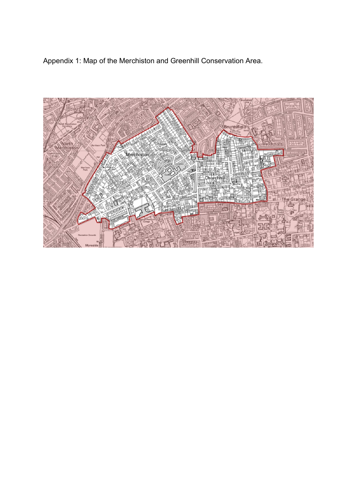Appendix 1: Map of the Merchiston and Greenhill Conservation Area.

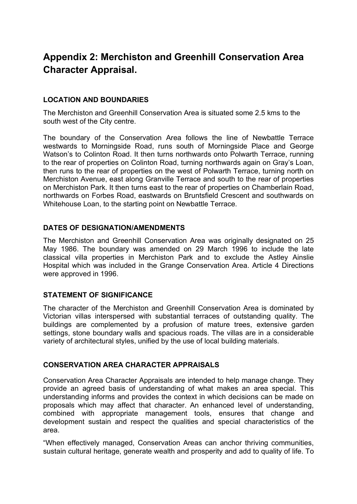# **Appendix 2: Merchiston and Greenhill Conservation Area Character Appraisal.**

# **LOCATION AND BOUNDARIES**

The Merchiston and Greenhill Conservation Area is situated some 2.5 kms to the south west of the City centre.

The boundary of the Conservation Area follows the line of Newbattle Terrace westwards to Morningside Road, runs south of Morningside Place and George Watson's to Colinton Road. It then turns northwards onto Polwarth Terrace, running to the rear of properties on Colinton Road, turning northwards again on Gray's Loan, then runs to the rear of properties on the west of Polwarth Terrace, turning north on Merchiston Avenue, east along Granville Terrace and south to the rear of properties on Merchiston Park. It then turns east to the rear of properties on Chamberlain Road, northwards on Forbes Road, eastwards on Bruntsfield Crescent and southwards on Whitehouse Loan, to the starting point on Newbattle Terrace.

#### **DATES OF DESIGNATION/AMENDMENTS**

The Merchiston and Greenhill Conservation Area was originally designated on 25 May 1986. The boundary was amended on 29 March 1996 to include the late classical villa properties in Merchiston Park and to exclude the Astley Ainslie Hospital which was included in the Grange Conservation Area. Article 4 Directions were approved in 1996.

# **STATEMENT OF SIGNIFICANCE**

The character of the Merchiston and Greenhill Conservation Area is dominated by Victorian villas interspersed with substantial terraces of outstanding quality. The buildings are complemented by a profusion of mature trees, extensive garden settings, stone boundary walls and spacious roads. The villas are in a considerable variety of architectural styles, unified by the use of local building materials.

#### **CONSERVATION AREA CHARACTER APPRAISALS**

Conservation Area Character Appraisals are intended to help manage change. They provide an agreed basis of understanding of what makes an area special. This understanding informs and provides the context in which decisions can be made on proposals which may affect that character. An enhanced level of understanding, combined with appropriate management tools, ensures that change and development sustain and respect the qualities and special characteristics of the area.

"When effectively managed, Conservation Areas can anchor thriving communities, sustain cultural heritage, generate wealth and prosperity and add to quality of life. To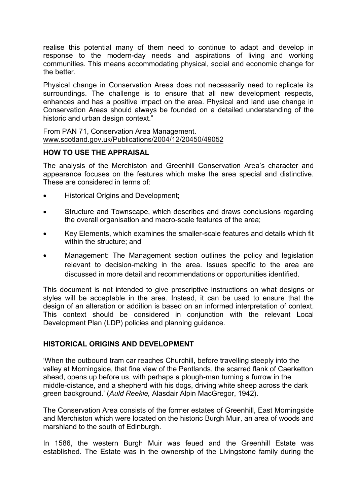realise this potential many of them need to continue to adapt and develop in response to the modern-day needs and aspirations of living and working communities. This means accommodating physical, social and economic change for the better.

Physical change in Conservation Areas does not necessarily need to replicate its surroundings. The challenge is to ensure that all new development respects, enhances and has a positive impact on the area. Physical and land use change in Conservation Areas should always be founded on a detailed understanding of the historic and urban design context."

From PAN 71, Conservation Area Management. [www.scotland.gov.uk/Publications/2004/12/20450/49052](file://c-cap-nas-01/home$/0302867/Trinity/TRINITY%20CACA%20REVIEW/LATEST/www.scotland.gov.uk/Publications/2004/12/20450/49052)

#### **HOW TO USE THE APPRAISAL**

The analysis of the Merchiston and Greenhill Conservation Area's character and appearance focuses on the features which make the area special and distinctive. These are considered in terms of:

- Historical Origins and Development;
- Structure and Townscape, which describes and draws conclusions regarding the overall organisation and macro-scale features of the area;
- Key Elements, which examines the smaller-scale features and details which fit within the structure; and
- Management: The Management section outlines the policy and legislation relevant to decision-making in the area. Issues specific to the area are discussed in more detail and recommendations or opportunities identified.

This document is not intended to give prescriptive instructions on what designs or styles will be acceptable in the area. Instead, it can be used to ensure that the design of an alteration or addition is based on an informed interpretation of context. This context should be considered in conjunction with the relevant Local Development Plan (LDP) policies and planning guidance.

# **HISTORICAL ORIGINS AND DEVELOPMENT**

'When the outbound tram car reaches Churchill, before travelling steeply into the valley at Morningside, that fine view of the Pentlands, the scarred flank of Caerketton ahead, opens up before us, with perhaps a plough-man turning a furrow in the middle-distance, and a shepherd with his dogs, driving white sheep across the dark green background.' (*Auld Reekie,* Alasdair Alpin MacGregor, 1942).

The Conservation Area consists of the former estates of Greenhill, East Morningside and Merchiston which were located on the historic Burgh Muir, an area of woods and marshland to the south of Edinburgh.

In 1586, the western Burgh Muir was feued and the Greenhill Estate was established. The Estate was in the ownership of the Livingstone family during the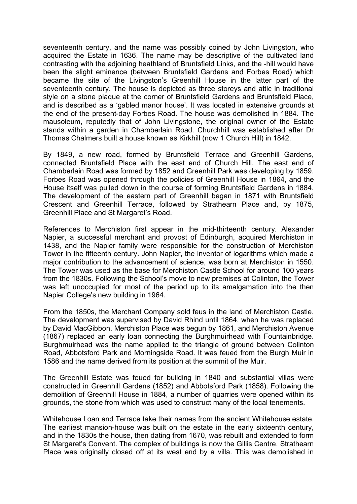seventeenth century, and the name was possibly coined by John Livingston, who acquired the Estate in 1636. The name may be descriptive of the cultivated land contrasting with the adjoining heathland of Bruntsfield Links, and the -hill would have been the slight eminence (between Bruntsfield Gardens and Forbes Road) which became the site of the Livingston's Greenhill House in the latter part of the seventeenth century. The house is depicted as three storeys and attic in traditional style on a stone plaque at the corner of Bruntsfield Gardens and Bruntsfield Place, and is described as a 'gabled manor house'. It was located in extensive grounds at the end of the present-day Forbes Road. The house was demolished in 1884. The mausoleum, reputedly that of John Livingstone, the original owner of the Estate stands within a garden in Chamberlain Road. Churchhill was established after Dr Thomas Chalmers built a house known as Kirkhill (now 1 Church Hill) in 1842.

By 1849, a new road, formed by Bruntsfield Terrace and Greenhill Gardens, connected Bruntsfield Place with the east end of Church Hill. The east end of Chamberlain Road was formed by 1852 and Greenhill Park was developing by 1859. Forbes Road was opened through the policies of Greenhill House in 1864, and the House itself was pulled down in the course of forming Bruntsfield Gardens in 1884. The development of the eastern part of Greenhill began in 1871 with Bruntsfield Crescent and Greenhill Terrace, followed by Strathearn Place and, by 1875, Greenhill Place and St Margaret's Road.

References to Merchiston first appear in the mid-thirteenth century. Alexander Napier, a successful merchant and provost of Edinburgh, acquired Merchiston in 1438, and the Napier family were responsible for the construction of Merchiston Tower in the fifteenth century. John Napier, the inventor of logarithms which made a major contribution to the advancement of science, was born at Merchiston in 1550. The Tower was used as the base for Merchiston Castle School for around 100 years from the 1830s. Following the School's move to new premises at Colinton, the Tower was left unoccupied for most of the period up to its amalgamation into the then Napier College's new building in 1964.

From the 1850s, the Merchant Company sold feus in the land of Merchiston Castle. The development was supervised by David Rhind until 1864, when he was replaced by David MacGibbon. Merchiston Place was begun by 1861, and Merchiston Avenue (1867) replaced an early loan connecting the Burghmuirhead with Fountainbridge. Burghmuirhead was the name applied to the triangle of ground between Colinton Road, Abbotsford Park and Morningside Road. It was feued from the Burgh Muir in 1586 and the name derived from its position at the summit of the Muir.

The Greenhill Estate was feued for building in 1840 and substantial villas were constructed in Greenhill Gardens (1852) and Abbotsford Park (1858). Following the demolition of Greenhill House in 1884, a number of quarries were opened within its grounds, the stone from which was used to construct many of the local tenements.

Whitehouse Loan and Terrace take their names from the ancient Whitehouse estate. The earliest mansion-house was built on the estate in the early sixteenth century, and in the 1830s the house, then dating from 1670, was rebuilt and extended to form St Margaret's Convent. The complex of buildings is now the Gillis Centre. Strathearn Place was originally closed off at its west end by a villa. This was demolished in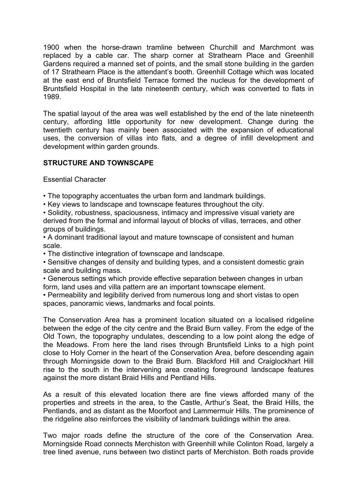1900 when the horse-drawn tramline between Churchill and Marchmont was replaced by a cable car. The sharp corner at Strathearn Place and Greenhill Gardens required a manned set of points, and the small stone building in the garden of 17 Strathearn Place is the attendant's booth. Greenhill Cottage which was located at the east end of Bruntsfield Terrace formed the nucleus for the development of Bruntsfield Hospital in the late nineteenth century, which was converted to flats in 1989.

The spatial layout of the area was well established by the end of the late nineteenth century, affording little opportunity for new development. Change during the twentieth century has mainly been associated with the expansion of educational uses, the conversion of villas into flats, and a degree of infill development and development within garden grounds.

#### **STRUCTURE AND TOWNSCAPE**

Essential Character

- The topography accentuates the urban form and landmark buildings.
- Key views to landscape and townscape features throughout the city.
- Solidity, robustness, spaciousness, intimacy and impressive visual variety are derived from the formal and informal layout of blocks of villas, terraces, and other groups of buildings.
- A dominant traditional layout and mature townscape of consistent and human scale.
- The distinctive integration of townscape and landscape.
- Sensitive changes of density and building types, and a consistent domestic grain scale and building mass.
- Generous settings which provide effective separation between changes in urban form, land uses and villa pattern are an important townscape element.
- Permeability and legibility derived from numerous long and short vistas to open spaces, panoramic views, landmarks and focal points.

The Conservation Area has a prominent location situated on a localised ridgeline between the edge of the city centre and the Braid Burn valley. From the edge of the Old Town, the topography undulates, descending to a low point along the edge of the Meadows. From here the land rises through Bruntsfield Links to a high point close to Holy Corner in the heart of the Conservation Area, before descending again through Morningside down to the Braid Burn. Blackford Hill and Craiglockhart Hill rise to the south in the intervening area creating foreground landscape features against the more distant Braid Hills and Pentland Hills.

As a result of this elevated location there are fine views afforded many of the properties and streets in the area, to the Castle, Arthur's Seat, the Braid Hills, the Pentlands, and as distant as the Moorfoot and Lammermuir Hills. The prominence of the ridgeline also reinforces the visibility of landmark buildings within the area.

Two major roads define the structure of the core of the Conservation Area. Morningside Road connects Merchiston with Greenhill while Colinton Road, largely a tree lined avenue, runs between two distinct parts of Merchiston. Both roads provide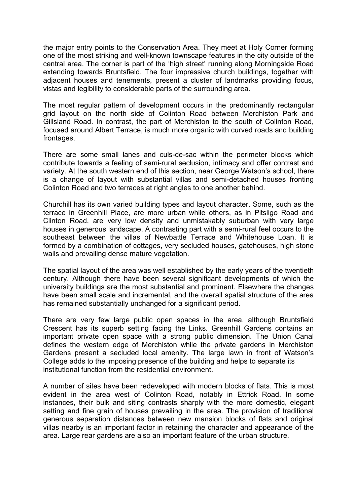the major entry points to the Conservation Area. They meet at Holy Corner forming one of the most striking and well-known townscape features in the city outside of the central area. The corner is part of the ʻhigh street' running along Morningside Road extending towards Bruntsfield. The four impressive church buildings, together with adjacent houses and tenements, present a cluster of landmarks providing focus, vistas and legibility to considerable parts of the surrounding area.

The most regular pattern of development occurs in the predominantly rectangular grid layout on the north side of Colinton Road between Merchiston Park and Gillsland Road. In contrast, the part of Merchiston to the south of Colinton Road, focused around Albert Terrace, is much more organic with curved roads and building frontages.

There are some small lanes and culs-de-sac within the perimeter blocks which contribute towards a feeling of semi-rural seclusion, intimacy and offer contrast and variety. At the south western end of this section, near George Watson's school, there is a change of layout with substantial villas and semi-detached houses fronting Colinton Road and two terraces at right angles to one another behind.

Churchill has its own varied building types and layout character. Some, such as the terrace in Greenhill Place, are more urban while others, as in Pitsligo Road and Clinton Road, are very low density and unmistakably suburban with very large houses in generous landscape. A contrasting part with a semi-rural feel occurs to the southeast between the villas of Newbattle Terrace and Whitehouse Loan. It is formed by a combination of cottages, very secluded houses, gatehouses, high stone walls and prevailing dense mature vegetation.

The spatial layout of the area was well established by the early years of the twentieth century. Although there have been several significant developments of which the university buildings are the most substantial and prominent. Elsewhere the changes have been small scale and incremental, and the overall spatial structure of the area has remained substantially unchanged for a significant period.

There are very few large public open spaces in the area, although Bruntsfield Crescent has its superb setting facing the Links. Greenhill Gardens contains an important private open space with a strong public dimension. The Union Canal defines the western edge of Merchiston while the private gardens in Merchiston Gardens present a secluded local amenity. The large lawn in front of Watson's College adds to the imposing presence of the building and helps to separate its institutional function from the residential environment.

A number of sites have been redeveloped with modern blocks of flats. This is most evident in the area west of Colinton Road, notably in Ettrick Road. In some instances, their bulk and siting contrasts sharply with the more domestic, elegant setting and fine grain of houses prevailing in the area. The provision of traditional generous separation distances between new mansion blocks of flats and original villas nearby is an important factor in retaining the character and appearance of the area. Large rear gardens are also an important feature of the urban structure.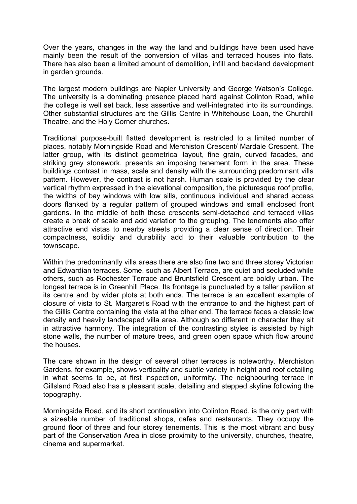Over the years, changes in the way the land and buildings have been used have mainly been the result of the conversion of villas and terraced houses into flats. There has also been a limited amount of demolition, infill and backland development in garden grounds.

The largest modern buildings are Napier University and George Watson's College. The university is a dominating presence placed hard against Colinton Road, while the college is well set back, less assertive and well-integrated into its surroundings. Other substantial structures are the Gillis Centre in Whitehouse Loan, the Churchill Theatre, and the Holy Corner churches.

Traditional purpose-built flatted development is restricted to a limited number of places, notably Morningside Road and Merchiston Crescent/ Mardale Crescent. The latter group, with its distinct geometrical layout, fine grain, curved facades, and striking grey stonework, presents an imposing tenement form in the area. These buildings contrast in mass, scale and density with the surrounding predominant villa pattern. However, the contrast is not harsh. Human scale is provided by the clear vertical rhythm expressed in the elevational composition, the picturesque roof profile, the widths of bay windows with low sills, continuous individual and shared access doors flanked by a regular pattern of grouped windows and small enclosed front gardens. In the middle of both these crescents semi-detached and terraced villas create a break of scale and add variation to the grouping. The tenements also offer attractive end vistas to nearby streets providing a clear sense of direction. Their compactness, solidity and durability add to their valuable contribution to the townscape.

Within the predominantly villa areas there are also fine two and three storey Victorian and Edwardian terraces. Some, such as Albert Terrace, are quiet and secluded while others, such as Rochester Terrace and Bruntsfield Crescent are boldly urban. The longest terrace is in Greenhill Place. Its frontage is punctuated by a taller pavilion at its centre and by wider plots at both ends. The terrace is an excellent example of closure of vista to St. Margaret's Road with the entrance to and the highest part of the Gillis Centre containing the vista at the other end. The terrace faces a classic low density and heavily landscaped villa area. Although so different in character they sit in attractive harmony. The integration of the contrasting styles is assisted by high stone walls, the number of mature trees, and green open space which flow around the houses.

The care shown in the design of several other terraces is noteworthy. Merchiston Gardens, for example, shows verticality and subtle variety in height and roof detailing in what seems to be, at first inspection, uniformity. The neighbouring terrace in Gillsland Road also has a pleasant scale, detailing and stepped skyline following the topography.

Morningside Road, and its short continuation into Colinton Road, is the only part with a sizeable number of traditional shops, cafes and restaurants. They occupy the ground floor of three and four storey tenements. This is the most vibrant and busy part of the Conservation Area in close proximity to the university, churches, theatre, cinema and supermarket.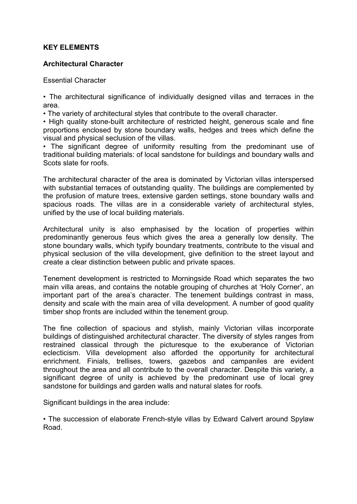# **KEY ELEMENTS**

#### **Architectural Character**

Essential Character

• The architectural significance of individually designed villas and terraces in the area.

• The variety of architectural styles that contribute to the overall character.

• High quality stone-built architecture of restricted height, generous scale and fine proportions enclosed by stone boundary walls, hedges and trees which define the visual and physical seclusion of the villas.

• The significant degree of uniformity resulting from the predominant use of traditional building materials: of local sandstone for buildings and boundary walls and Scots slate for roofs.

The architectural character of the area is dominated by Victorian villas interspersed with substantial terraces of outstanding quality. The buildings are complemented by the profusion of mature trees, extensive garden settings, stone boundary walls and spacious roads. The villas are in a considerable variety of architectural styles, unified by the use of local building materials.

Architectural unity is also emphasised by the location of properties within predominantly generous feus which gives the area a generally low density. The stone boundary walls, which typify boundary treatments, contribute to the visual and physical seclusion of the villa development, give definition to the street layout and create a clear distinction between public and private spaces.

Tenement development is restricted to Morningside Road which separates the two main villa areas, and contains the notable grouping of churches at ʻHoly Corner', an important part of the area's character. The tenement buildings contrast in mass, density and scale with the main area of villa development. A number of good quality timber shop fronts are included within the tenement group.

The fine collection of spacious and stylish, mainly Victorian villas incorporate buildings of distinguished architectural character. The diversity of styles ranges from restrained classical through the picturesque to the exuberance of Victorian eclecticism. Villa development also afforded the opportunity for architectural enrichment. Finials, trellises, towers, gazebos and campaniles are evident throughout the area and all contribute to the overall character. Despite this variety, a significant degree of unity is achieved by the predominant use of local grey sandstone for buildings and garden walls and natural slates for roofs.

Significant buildings in the area include:

• The succession of elaborate French-style villas by Edward Calvert around Spylaw Road.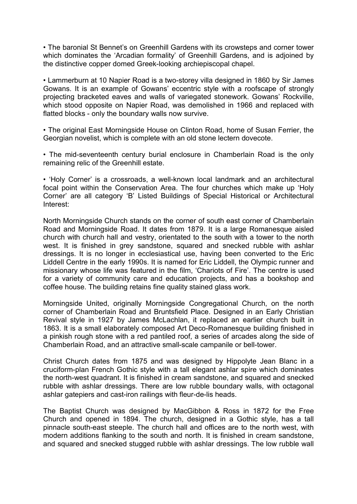• The baronial St Bennet's on Greenhill Gardens with its crowsteps and corner tower which dominates the ʻArcadian formality' of Greenhill Gardens, and is adjoined by the distinctive copper domed Greek-looking archiepiscopal chapel.

• Lammerburn at 10 Napier Road is a two-storey villa designed in 1860 by Sir James Gowans. It is an example of Gowans' eccentric style with a roofscape of strongly projecting bracketed eaves and walls of variegated stonework. Gowans' Rockville, which stood opposite on Napier Road, was demolished in 1966 and replaced with flatted blocks - only the boundary walls now survive.

• The original East Morningside House on Clinton Road, home of Susan Ferrier, the Georgian novelist, which is complete with an old stone lectern dovecote.

• The mid-seventeenth century burial enclosure in Chamberlain Road is the only remaining relic of the Greenhill estate.

• ʻHoly Corner' is a crossroads, a well-known local landmark and an architectural focal point within the Conservation Area. The four churches which make up ʻHoly Corner' are all category ʻB' Listed Buildings of Special Historical or Architectural Interest:

North Morningside Church stands on the corner of south east corner of Chamberlain Road and Morningside Road. It dates from 1879. It is a large Romanesque aisled church with church hall and vestry, orientated to the south with a tower to the north west. It is finished in grey sandstone, squared and snecked rubble with ashlar dressings. It is no longer in ecclesiastical use, having been converted to the Eric Liddell Centre in the early 1990s. It is named for Eric Liddell, the Olympic runner and missionary whose life was featured in the film, ʻChariots of Fire'. The centre is used for a variety of community care and education projects, and has a bookshop and coffee house. The building retains fine quality stained glass work.

Morningside United, originally Morningside Congregational Church, on the north corner of Chamberlain Road and Bruntsfield Place. Designed in an Early Christian Revival style in 1927 by James McLachlan, it replaced an earlier church built in 1863. It is a small elaborately composed Art Deco-Romanesque building finished in a pinkish rough stone with a red pantiled roof, a series of arcades along the side of Chamberlain Road, and an attractive small-scale campanile or bell-tower.

Christ Church dates from 1875 and was designed by Hippolyte Jean Blanc in a cruciform-plan French Gothic style with a tall elegant ashlar spire which dominates the north-west quadrant. It is finished in cream sandstone, and squared and snecked rubble with ashlar dressings. There are low rubble boundary walls, with octagonal ashlar gatepiers and cast-iron railings with fleur-de-lis heads.

The Baptist Church was designed by MacGibbon & Ross in 1872 for the Free Church and opened in 1894. The church, designed in a Gothic style, has a tall pinnacle south-east steeple. The church hall and offices are to the north west, with modern additions flanking to the south and north. It is finished in cream sandstone, and squared and snecked stugged rubble with ashlar dressings. The low rubble wall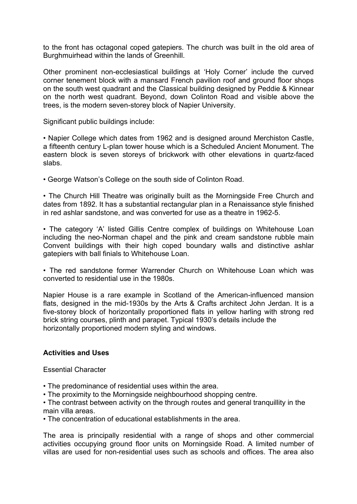to the front has octagonal coped gatepiers. The church was built in the old area of Burghmuirhead within the lands of Greenhill.

Other prominent non-ecclesiastical buildings at ʻHoly Corner' include the curved corner tenement block with a mansard French pavilion roof and ground floor shops on the south west quadrant and the Classical building designed by Peddie & Kinnear on the north west quadrant. Beyond, down Colinton Road and visible above the trees, is the modern seven-storey block of Napier University.

Significant public buildings include:

• Napier College which dates from 1962 and is designed around Merchiston Castle, a fifteenth century L-plan tower house which is a Scheduled Ancient Monument. The eastern block is seven storeys of brickwork with other elevations in quartz-faced slabs.

• George Watson's College on the south side of Colinton Road.

• The Church Hill Theatre was originally built as the Morningside Free Church and dates from 1892. It has a substantial rectangular plan in a Renaissance style finished in red ashlar sandstone, and was converted for use as a theatre in 1962-5.

• The category ʻA' listed Gillis Centre complex of buildings on Whitehouse Loan including the neo-Norman chapel and the pink and cream sandstone rubble main Convent buildings with their high coped boundary walls and distinctive ashlar gatepiers with ball finials to Whitehouse Loan.

• The red sandstone former Warrender Church on Whitehouse Loan which was converted to residential use in the 1980s.

Napier House is a rare example in Scotland of the American-influenced mansion flats, designed in the mid-1930s by the Arts & Crafts architect John Jerdan. It is a five-storey block of horizontally proportioned flats in yellow harling with strong red brick string courses, plinth and parapet. Typical 1930's details include the horizontally proportioned modern styling and windows.

#### **Activities and Uses**

Essential Character

- The predominance of residential uses within the area.
- The proximity to the Morningside neighbourhood shopping centre.

• The contrast between activity on the through routes and general tranquillity in the main villa areas.

• The concentration of educational establishments in the area.

The area is principally residential with a range of shops and other commercial activities occupying ground floor units on Morningside Road. A limited number of villas are used for non-residential uses such as schools and offices. The area also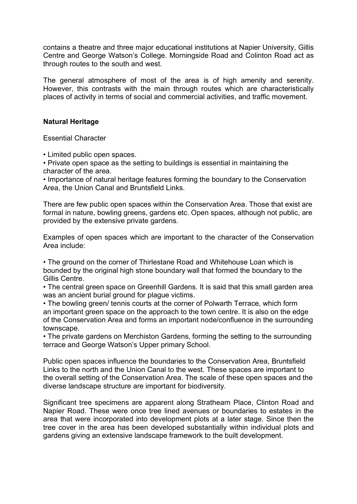contains a theatre and three major educational institutions at Napier University, Gillis Centre and George Watson's College. Morningside Road and Colinton Road act as through routes to the south and west.

The general atmosphere of most of the area is of high amenity and serenity. However, this contrasts with the main through routes which are characteristically places of activity in terms of social and commercial activities, and traffic movement.

#### **Natural Heritage**

Essential Character

• Limited public open spaces.

• Private open space as the setting to buildings is essential in maintaining the character of the area.

• Importance of natural heritage features forming the boundary to the Conservation Area, the Union Canal and Bruntsfield Links.

There are few public open spaces within the Conservation Area. Those that exist are formal in nature, bowling greens, gardens etc. Open spaces, although not public, are provided by the extensive private gardens.

Examples of open spaces which are important to the character of the Conservation Area include:

• The ground on the corner of Thirlestane Road and Whitehouse Loan which is bounded by the original high stone boundary wall that formed the boundary to the Gillis Centre.

• The central green space on Greenhill Gardens. It is said that this small garden area was an ancient burial ground for plague victims.

• The bowling green/ tennis courts at the corner of Polwarth Terrace, which form an important green space on the approach to the town centre. It is also on the edge of the Conservation Area and forms an important node/confluence in the surrounding townscape.

• The private gardens on Merchiston Gardens, forming the setting to the surrounding terrace and George Watson's Upper primary School.

Public open spaces influence the boundaries to the Conservation Area, Bruntsfield Links to the north and the Union Canal to the west. These spaces are important to the overall setting of the Conservation Area. The scale of these open spaces and the diverse landscape structure are important for biodiversity.

Significant tree specimens are apparent along Strathearn Place, Clinton Road and Napier Road. These were once tree lined avenues or boundaries to estates in the area that were incorporated into development plots at a later stage. Since then the tree cover in the area has been developed substantially within individual plots and gardens giving an extensive landscape framework to the built development.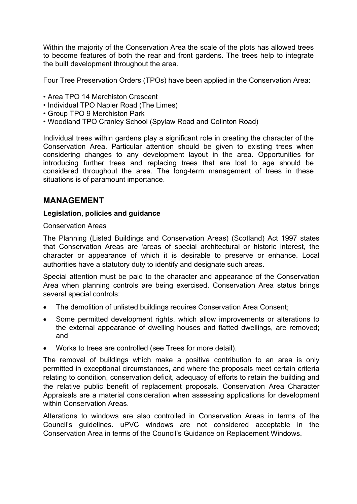Within the majority of the Conservation Area the scale of the plots has allowed trees to become features of both the rear and front gardens. The trees help to integrate the built development throughout the area.

Four Tree Preservation Orders (TPOs) have been applied in the Conservation Area:

- Area TPO 14 Merchiston Crescent
- Individual TPO Napier Road (The Limes)
- Group TPO 9 Merchiston Park
- Woodland TPO Cranley School (Spylaw Road and Colinton Road)

Individual trees within gardens play a significant role in creating the character of the Conservation Area. Particular attention should be given to existing trees when considering changes to any development layout in the area. Opportunities for introducing further trees and replacing trees that are lost to age should be considered throughout the area. The long-term management of trees in these situations is of paramount importance.

# **MANAGEMENT**

#### **Legislation, policies and guidance**

#### Conservation Areas

The Planning (Listed Buildings and Conservation Areas) (Scotland) Act 1997 states that Conservation Areas are 'areas of special architectural or historic interest, the character or appearance of which it is desirable to preserve or enhance. Local authorities have a statutory duty to identify and designate such areas.

Special attention must be paid to the character and appearance of the Conservation Area when planning controls are being exercised. Conservation Area status brings several special controls:

- The demolition of unlisted buildings requires Conservation Area Consent;
- Some permitted development rights, which allow improvements or alterations to the external appearance of dwelling houses and flatted dwellings, are removed; and
- Works to trees are controlled (see Trees for more detail).

The removal of buildings which make a positive contribution to an area is only permitted in exceptional circumstances, and where the proposals meet certain criteria relating to condition, conservation deficit, adequacy of efforts to retain the building and the relative public benefit of replacement proposals. Conservation Area Character Appraisals are a material consideration when assessing applications for development within Conservation Areas.

Alterations to windows are also controlled in Conservation Areas in terms of the Council's guidelines. uPVC windows are not considered acceptable in the Conservation Area in terms of the Council's Guidance on Replacement Windows.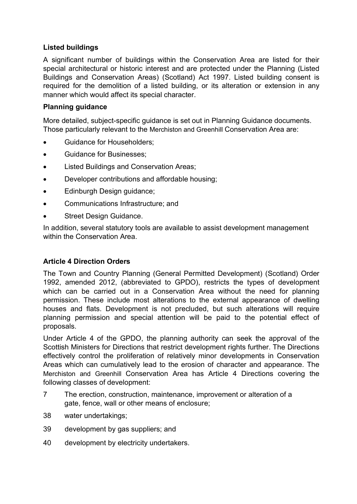# **Listed buildings**

A significant number of buildings within the Conservation Area are listed for their special architectural or historic interest and are protected under the Planning (Listed Buildings and Conservation Areas) (Scotland) Act 1997. Listed building consent is required for the demolition of a listed building, or its alteration or extension in any manner which would affect its special character.

# **Planning guidance**

More detailed, subject-specific guidance is set out in Planning Guidance documents. Those particularly relevant to the Merchiston and Greenhill Conservation Area are:

- Guidance for Householders;
- Guidance for Businesses;
- Listed Buildings and Conservation Areas;
- Developer contributions and affordable housing;
- Edinburgh Design guidance;
- Communications Infrastructure; and
- Street Design Guidance.

In addition, several statutory tools are available to assist development management within the Conservation Area.

#### **Article 4 Direction Orders**

The Town and Country Planning (General Permitted Development) (Scotland) Order 1992, amended 2012, (abbreviated to GPDO), restricts the types of development which can be carried out in a Conservation Area without the need for planning permission. These include most alterations to the external appearance of dwelling houses and flats. Development is not precluded, but such alterations will require planning permission and special attention will be paid to the potential effect of proposals.

Under Article 4 of the GPDO, the planning authority can seek the approval of the Scottish Ministers for Directions that restrict development rights further. The Directions effectively control the proliferation of relatively minor developments in Conservation Areas which can cumulatively lead to the erosion of character and appearance. The Merchiston and Greenhill Conservation Area has Article 4 Directions covering the following classes of development:

- 7 The erection, construction, maintenance, improvement or alteration of a gate, fence, wall or other means of enclosure;
- 38 water undertakings;
- 39 development by gas suppliers; and
- 40 development by electricity undertakers.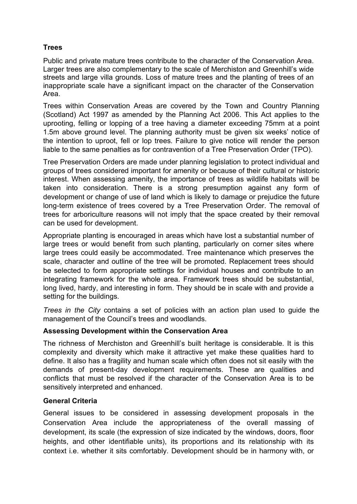# **Trees**

Public and private mature trees contribute to the character of the Conservation Area. Larger trees are also complementary to the scale of Merchiston and Greenhill's wide streets and large villa grounds. Loss of mature trees and the planting of trees of an inappropriate scale have a significant impact on the character of the Conservation Area.

Trees within Conservation Areas are covered by the Town and Country Planning (Scotland) Act 1997 as amended by the Planning Act 2006. This Act applies to the uprooting, felling or lopping of a tree having a diameter exceeding 75mm at a point 1.5m above ground level. The planning authority must be given six weeks' notice of the intention to uproot, fell or lop trees. Failure to give notice will render the person liable to the same penalties as for contravention of a Tree Preservation Order (TPO).

Tree Preservation Orders are made under planning legislation to protect individual and groups of trees considered important for amenity or because of their cultural or historic interest. When assessing amenity, the importance of trees as wildlife habitats will be taken into consideration. There is a strong presumption against any form of development or change of use of land which is likely to damage or prejudice the future long-term existence of trees covered by a Tree Preservation Order. The removal of trees for arboriculture reasons will not imply that the space created by their removal can be used for development.

Appropriate planting is encouraged in areas which have lost a substantial number of large trees or would benefit from such planting, particularly on corner sites where large trees could easily be accommodated. Tree maintenance which preserves the scale, character and outline of the tree will be promoted. Replacement trees should be selected to form appropriate settings for individual houses and contribute to an integrating framework for the whole area. Framework trees should be substantial, long lived, hardy, and interesting in form. They should be in scale with and provide a setting for the buildings.

*Trees in the City* contains a set of policies with an action plan used to guide the management of the Council's trees and woodlands.

# **Assessing Development within the Conservation Area**

The richness of Merchiston and Greenhill's built heritage is considerable. It is this complexity and diversity which make it attractive yet make these qualities hard to define. It also has a fragility and human scale which often does not sit easily with the demands of present-day development requirements. These are qualities and conflicts that must be resolved if the character of the Conservation Area is to be sensitively interpreted and enhanced.

# **General Criteria**

General issues to be considered in assessing development proposals in the Conservation Area include the appropriateness of the overall massing of development, its scale (the expression of size indicated by the windows, doors, floor heights, and other identifiable units), its proportions and its relationship with its context i.e. whether it sits comfortably. Development should be in harmony with, or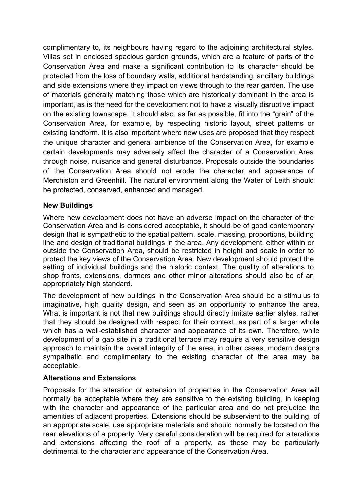complimentary to, its neighbours having regard to the adjoining architectural styles. Villas set in enclosed spacious garden grounds, which are a feature of parts of the Conservation Area and make a significant contribution to its character should be protected from the loss of boundary walls, additional hardstanding, ancillary buildings and side extensions where they impact on views through to the rear garden. The use of materials generally matching those which are historically dominant in the area is important, as is the need for the development not to have a visually disruptive impact on the existing townscape. It should also, as far as possible, fit into the "grain" of the Conservation Area, for example, by respecting historic layout, street patterns or existing landform. It is also important where new uses are proposed that they respect the unique character and general ambience of the Conservation Area, for example certain developments may adversely affect the character of a Conservation Area through noise, nuisance and general disturbance. Proposals outside the boundaries of the Conservation Area should not erode the character and appearance of Merchiston and Greenhill. The natural environment along the Water of Leith should be protected, conserved, enhanced and managed.

#### **New Buildings**

Where new development does not have an adverse impact on the character of the Conservation Area and is considered acceptable, it should be of good contemporary design that is sympathetic to the spatial pattern, scale, massing, proportions, building line and design of traditional buildings in the area. Any development, either within or outside the Conservation Area, should be restricted in height and scale in order to protect the key views of the Conservation Area. New development should protect the setting of individual buildings and the historic context. The quality of alterations to shop fronts, extensions, dormers and other minor alterations should also be of an appropriately high standard.

The development of new buildings in the Conservation Area should be a stimulus to imaginative, high quality design, and seen as an opportunity to enhance the area. What is important is not that new buildings should directly imitate earlier styles, rather that they should be designed with respect for their context, as part of a larger whole which has a well-established character and appearance of its own. Therefore, while development of a gap site in a traditional terrace may require a very sensitive design approach to maintain the overall integrity of the area; in other cases, modern designs sympathetic and complimentary to the existing character of the area may be acceptable.

#### **Alterations and Extensions**

Proposals for the alteration or extension of properties in the Conservation Area will normally be acceptable where they are sensitive to the existing building, in keeping with the character and appearance of the particular area and do not prejudice the amenities of adjacent properties. Extensions should be subservient to the building, of an appropriate scale, use appropriate materials and should normally be located on the rear elevations of a property. Very careful consideration will be required for alterations and extensions affecting the roof of a property, as these may be particularly detrimental to the character and appearance of the Conservation Area.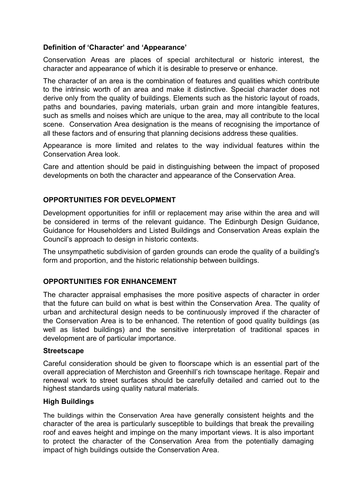#### **Definition of 'Character' and 'Appearance'**

Conservation Areas are places of special architectural or historic interest, the character and appearance of which it is desirable to preserve or enhance.

The character of an area is the combination of features and qualities which contribute to the intrinsic worth of an area and make it distinctive. Special character does not derive only from the quality of buildings. Elements such as the historic layout of roads, paths and boundaries, paving materials, urban grain and more intangible features, such as smells and noises which are unique to the area, may all contribute to the local scene. Conservation Area designation is the means of recognising the importance of all these factors and of ensuring that planning decisions address these qualities.

Appearance is more limited and relates to the way individual features within the Conservation Area look.

Care and attention should be paid in distinguishing between the impact of proposed developments on both the character and appearance of the Conservation Area.

#### **OPPORTUNITIES FOR DEVELOPMENT**

Development opportunities for infill or replacement may arise within the area and will be considered in terms of the relevant guidance. The Edinburgh Design Guidance, Guidance for Householders and Listed Buildings and Conservation Areas explain the Council's approach to design in historic contexts.

The unsympathetic subdivision of garden grounds can erode the quality of a building's form and proportion, and the historic relationship between buildings.

#### **OPPORTUNITIES FOR ENHANCEMENT**

The character appraisal emphasises the more positive aspects of character in order that the future can build on what is best within the Conservation Area. The quality of urban and architectural design needs to be continuously improved if the character of the Conservation Area is to be enhanced. The retention of good quality buildings (as well as listed buildings) and the sensitive interpretation of traditional spaces in development are of particular importance.

#### **Streetscape**

Careful consideration should be given to floorscape which is an essential part of the overall appreciation of Merchiston and Greenhill's rich townscape heritage. Repair and renewal work to street surfaces should be carefully detailed and carried out to the highest standards using quality natural materials.

#### **High Buildings**

The buildings within the Conservation Area have generally consistent heights and the character of the area is particularly susceptible to buildings that break the prevailing roof and eaves height and impinge on the many important views. It is also important to protect the character of the Conservation Area from the potentially damaging impact of high buildings outside the Conservation Area.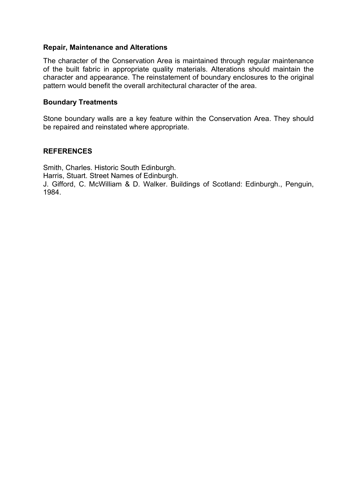#### **Repair, Maintenance and Alterations**

The character of the Conservation Area is maintained through regular maintenance of the built fabric in appropriate quality materials. Alterations should maintain the character and appearance. The reinstatement of boundary enclosures to the original pattern would benefit the overall architectural character of the area.

#### **Boundary Treatments**

Stone boundary walls are a key feature within the Conservation Area. They should be repaired and reinstated where appropriate.

#### **REFERENCES**

Smith, Charles. Historic South Edinburgh. Harris, Stuart. Street Names of Edinburgh. J. Gifford, C. McWilliam & D. Walker. Buildings of Scotland: Edinburgh., Penguin, 1984.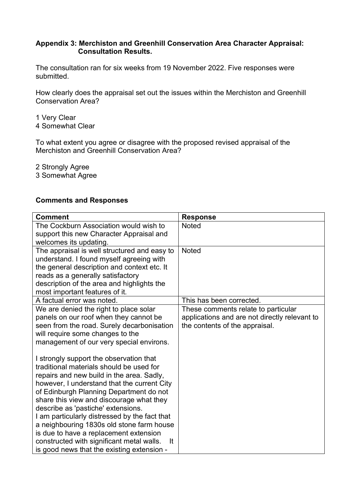#### **Appendix 3: Merchiston and Greenhill Conservation Area Character Appraisal: Consultation Results.**

The consultation ran for six weeks from 19 November 2022. Five responses were submitted.

How clearly does the appraisal set out the issues within the Merchiston and Greenhill Conservation Area?

1 Very Clear 4 Somewhat Clear

To what extent you agree or disagree with the proposed revised appraisal of the Merchiston and Greenhill Conservation Area?

2 Strongly Agree

3 Somewhat Agree

#### **Comments and Responses**

| <b>Comment</b>                                  | <b>Response</b>                               |
|-------------------------------------------------|-----------------------------------------------|
| The Cockburn Association would wish to          | <b>Noted</b>                                  |
| support this new Character Appraisal and        |                                               |
| welcomes its updating.                          |                                               |
| The appraisal is well structured and easy to    | <b>Noted</b>                                  |
| understand. I found myself agreeing with        |                                               |
| the general description and context etc. It     |                                               |
| reads as a generally satisfactory               |                                               |
| description of the area and highlights the      |                                               |
| most important features of it.                  |                                               |
| A factual error was noted.                      | This has been corrected.                      |
| We are denied the right to place solar          | These comments relate to particular           |
| panels on our roof when they cannot be          | applications and are not directly relevant to |
| seen from the road. Surely decarbonisation      | the contents of the appraisal.                |
| will require some changes to the                |                                               |
| management of our very special environs.        |                                               |
|                                                 |                                               |
| I strongly support the observation that         |                                               |
| traditional materials should be used for        |                                               |
| repairs and new build in the area. Sadly,       |                                               |
| however, I understand that the current City     |                                               |
| of Edinburgh Planning Department do not         |                                               |
| share this view and discourage what they        |                                               |
| describe as 'pastiche' extensions.              |                                               |
| I am particularly distressed by the fact that   |                                               |
| a neighbouring 1830s old stone farm house       |                                               |
| is due to have a replacement extension          |                                               |
| constructed with significant metal walls.<br>It |                                               |
| is good news that the existing extension -      |                                               |